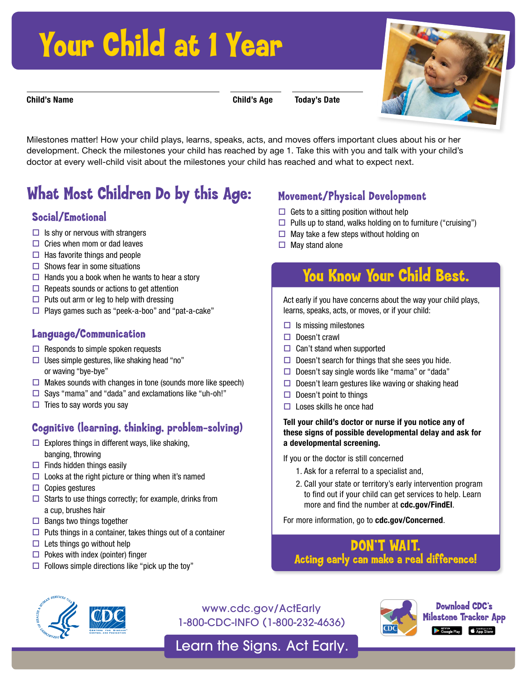# Your Child at 1 Year



**Child's Name Child's Age Today's Date**

Milestones matter! How your child plays, learns, speaks, acts, and moves offers important clues about his or her development. Check the milestones your child has reached by age 1. Take this with you and talk with your child's doctor at every well-child visit about the milestones your child has reached and what to expect next.

## What Most Children Do by this Age:

#### Social/Emotional

- $\Box$  Is shy or nervous with strangers
- $\Box$  Cries when mom or dad leaves
- $\Box$  Has favorite things and people
- $\Box$  Shows fear in some situations
- $\Box$  Hands you a book when he wants to hear a story
- $\Box$  Repeats sounds or actions to get attention
- $\Box$  Puts out arm or leg to help with dressing
- $\Box$  Plays games such as "peek-a-boo" and "pat-a-cake"

#### Language/Communication

- $\Box$  Responds to simple spoken requests
- $\square$  Uses simple gestures, like shaking head "no" or waving "bye-bye"
- $\Box$  Makes sounds with changes in tone (sounds more like speech)
- $\square$  Says "mama" and "dada" and exclamations like "uh-oh!"
- $\Box$  Tries to say words you say

### Cognitive (learning, thinking, problem-solving)

- $\Box$  Explores things in different ways, like shaking, banging, throwing
- $\Box$  Finds hidden things easily
- $\Box$  Looks at the right picture or thing when it's named
- $\Box$  Copies gestures
- $\Box$  Starts to use things correctly; for example, drinks from a cup, brushes hair
- $\Box$  Bangs two things together
- $\Box$  Puts things in a container, takes things out of a container
- $\Box$  Lets things go without help
- $\Box$  Pokes with index (pointer) finger
- $\Box$  Follows simple directions like "pick up the toy"

### Movement/Physical Development

- $\Box$  Gets to a sitting position without help
- $\Box$  Pulls up to stand, walks holding on to furniture ("cruising")
- $\Box$  May take a few steps without holding on
- $\Box$  May stand alone

## You Know Your Child Best.

Act early if you have concerns about the way your child plays, learns, speaks, acts, or moves, or if your child:

- $\Box$  Is missing milestones
- $\Box$  Doesn't crawl
- $\Box$  Can't stand when supported
- $\Box$  Doesn't search for things that she sees you hide.
- $\Box$  Doesn't say single words like "mama" or "dada"
- $\Box$  Doesn't learn gestures like waving or shaking head
- $\Box$  Doesn't point to things
- $\Box$  Loses skills he once had

**Tell your child's doctor or nurse if you notice any of these signs of possible developmental delay and ask for a developmental screening.**

If you or the doctor is still concerned

- 1. Ask for a referral to a specialist and,
- 2. Call your state or territory's early intervention program to find out if your child can get services to help. Learn more and find the number at **cdc.gov/FindEI**.

For more information, go to **cdc.gov/Concerned**.

## DON'T WA**I**T. Acting early can make a real difference!



[www.cdc.gov/ActEarly](https://www.cdc.gov/ncbddd/actearly/index.html) 1-800-CDC-INFO (1-800-232-4636)



**Download CDC's** Milestone Tracker App Google Play Constant on the

Learn the Signs. Act Early.